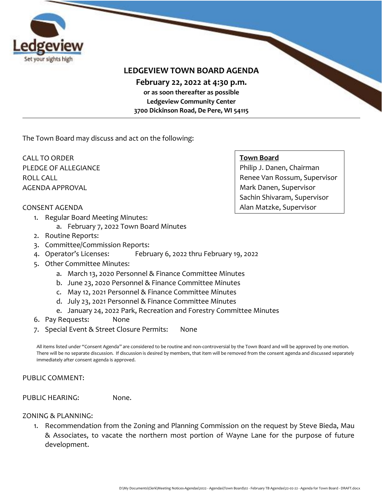

## **LEDGEVIEW TOWN BOARD AGENDA**

**February 22, 2022 at 4:30 p.m.** 

**or as soon thereafter as possible Ledgeview Community Center 3700 Dickinson Road, De Pere, WI 54115**

The Town Board may discuss and act on the following:

CALL TO ORDER PLEDGE OF ALLEGIANCE ROLL CALL AGENDA APPROVAL

#### **Town Board**

Philip J. Danen, Chairman Renee Van Rossum, Supervisor Mark Danen, Supervisor Sachin Shivaram, Supervisor Alan Matzke, Supervisor

#### CONSENT AGENDA

- 1. Regular Board Meeting Minutes:
	- a. February 7, 2022 Town Board Minutes
- 2. Routine Reports:
- 3. Committee/Commission Reports:
- 4. Operator's Licenses: February 6, 2022 thru February 19, 2022
- 5. Other Committee Minutes:
	- a. March 13, 2020 Personnel & Finance Committee Minutes
	- b. June 23, 2020 Personnel & Finance Committee Minutes
	- c. May 12, 2021 Personnel & Finance Committee Minutes
	- d. July 23, 2021 Personnel & Finance Committee Minutes
	- e. January 24, 2022 Park, Recreation and Forestry Committee Minutes
- 6. Pay Requests: None
- 7. Special Event & Street Closure Permits: None

All items listed under "Consent Agenda" are considered to be routine and non-controversial by the Town Board and will be approved by one motion. There will be no separate discussion. If discussion is desired by members, that item will be removed from the consent agenda and discussed separately immediately after consent agenda is approved.

#### PUBLIC COMMENT:

PUBLIC HEARING: None.

#### ZONING & PLANNING:

1. Recommendation from the Zoning and Planning Commission on the request by Steve Bieda, Mau & Associates, to vacate the northern most portion of Wayne Lane for the purpose of future development.